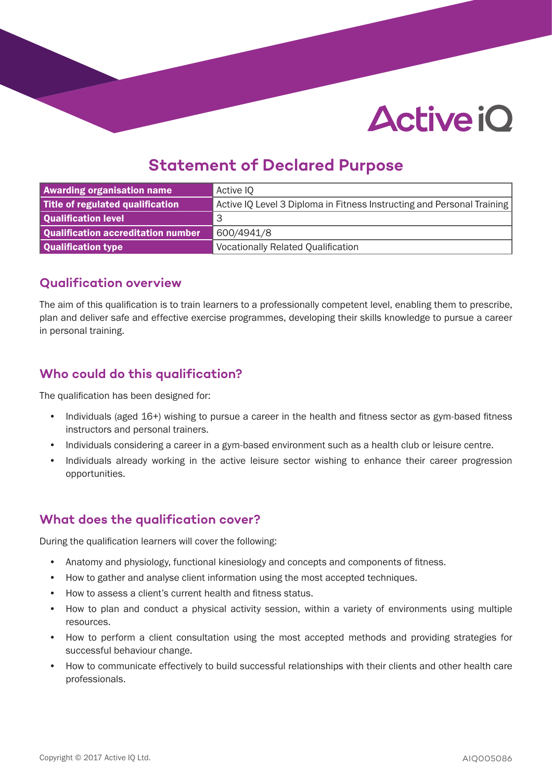# **Active iO**

# **Statement of Declared Purpose**

| <b>Awarding organisation name</b>  | Active IO                                                              |
|------------------------------------|------------------------------------------------------------------------|
| Title of regulated qualification   | Active IQ Level 3 Diploma in Fitness Instructing and Personal Training |
| Qualification level                | 3                                                                      |
| Qualification accreditation number | 600/4941/8                                                             |
| Qualification type                 | <b>Vocationally Related Qualification</b>                              |

#### **Qualification overview**

The aim of this qualification is to train learners to a professionally competent level, enabling them to prescribe, plan and deliver safe and effective exercise programmes, developing their skills knowledge to pursue a career in personal training.

## **Who could do this qualification?**

The qualification has been designed for:

- Individuals (aged 16+) wishing to pursue a career in the health and fitness sector as gym-based fitness instructors and personal trainers.
- Individuals considering a career in a gym-based environment such as a health club or leisure centre.
- Individuals already working in the active leisure sector wishing to enhance their career progression opportunities.

### **What does the qualification cover?**

During the qualification learners will cover the following:

- Anatomy and physiology, functional kinesiology and concepts and components of fitness.
- How to gather and analyse client information using the most accepted techniques.
- How to assess a client's current health and fitness status.
- How to plan and conduct a physical activity session, within a variety of environments using multiple resources.
- How to perform a client consultation using the most accepted methods and providing strategies for successful behaviour change.
- How to communicate effectively to build successful relationships with their clients and other health care professionals.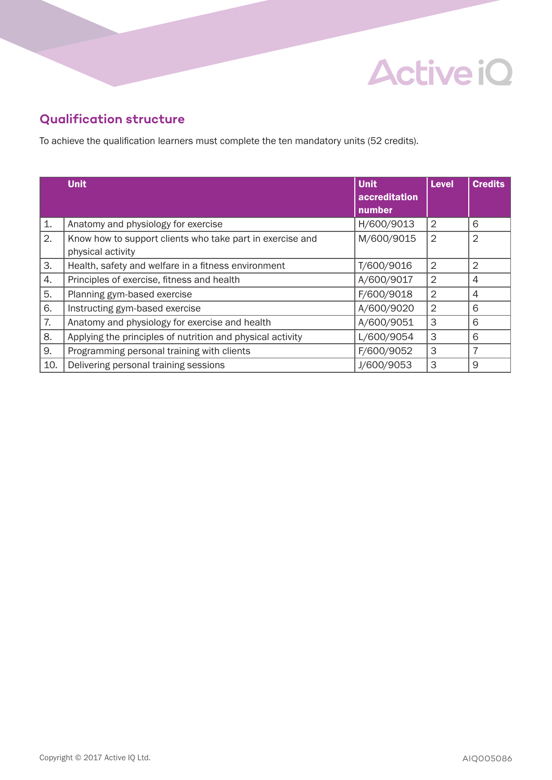# **Active iQ**

# **Qualification structure**

To achieve the qualification learners must complete the ten mandatory units (52 credits).

|     | <b>Unit</b>                                                | <b>Unit</b>   | Level          | <b>Credits</b> |
|-----|------------------------------------------------------------|---------------|----------------|----------------|
|     |                                                            | accreditation |                |                |
|     |                                                            | number        |                |                |
| 1.  | Anatomy and physiology for exercise                        | H/600/9013    | $\overline{2}$ | 6              |
| 2.  | Know how to support clients who take part in exercise and  | M/600/9015    | $\overline{2}$ | 2              |
|     | physical activity                                          |               |                |                |
| 3.  | Health, safety and welfare in a fitness environment        | T/600/9016    | $\overline{2}$ | $\overline{2}$ |
| 4.  | Principles of exercise, fitness and health                 | A/600/9017    | $\overline{2}$ | 4              |
| 5.  | Planning gym-based exercise                                | F/600/9018    | $\overline{2}$ | 4              |
| 6.  | Instructing gym-based exercise                             | A/600/9020    | $\overline{2}$ | 6              |
| 7.  | Anatomy and physiology for exercise and health             | A/600/9051    | 3              | 6              |
| 8.  | Applying the principles of nutrition and physical activity | L/600/9054    | 3              | 6              |
| 9.  | Programming personal training with clients                 | F/600/9052    | 3              | 7              |
| 10. | Delivering personal training sessions                      | J/600/9053    | 3              | 9              |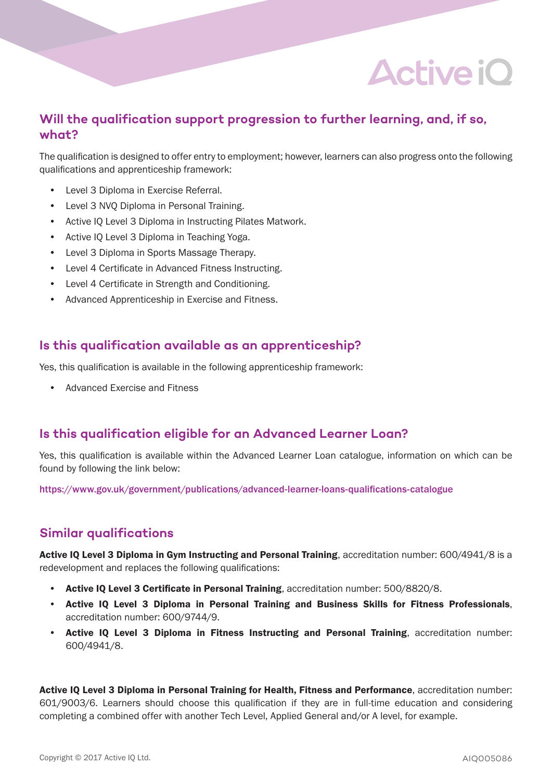# **Active iO**

### **Will the qualification support progression to further learning, and, if so, what?**

The qualification is designed to offer entry to employment; however, learners can also progress onto the following qualifications and apprenticeship framework:

- Level 3 Diploma in Exercise Referral.
- Level 3 NVQ Diploma in Personal Training.
- Active IQ Level 3 Diploma in Instructing Pilates Matwork.
- Active IQ Level 3 Diploma in Teaching Yoga.
- Level 3 Diploma in Sports Massage Therapy.
- Level 4 Certificate in Advanced Fitness Instructing.
- Level 4 Certificate in Strength and Conditioning.
- Advanced Apprenticeship in Exercise and Fitness.

#### **Is this qualification available as an apprenticeship?**

Yes, this qualification is available in the following apprenticeship framework:

• Advanced Exercise and Fitness

### **Is this qualification eligible for an Advanced Learner Loan?**

Yes, this qualification is available within the Advanced Learner Loan catalogue, information on which can be found by following the link below:

https://www.gov.uk/government/publications/advanced-learner-loans-qualifications-catalogue

### **Similar qualifications**

Active IQ Level 3 Diploma in Gym Instructing and Personal Training, accreditation number: 600/4941/8 is a redevelopment and replaces the following qualifications:

- Active IQ Level 3 Certificate in Personal Training, accreditation number: 500/8820/8.
- Active IQ Level 3 Diploma in Personal Training and Business Skills for Fitness Professionals, accreditation number: 600/9744/9.
- Active IQ Level 3 Diploma in Fitness Instructing and Personal Training, accreditation number: 600/4941/8.

Active IQ Level 3 Diploma in Personal Training for Health, Fitness and Performance, accreditation number: 601/9003/6. Learners should choose this qualification if they are in full-time education and considering completing a combined offer with another Tech Level, Applied General and/or A level, for example.